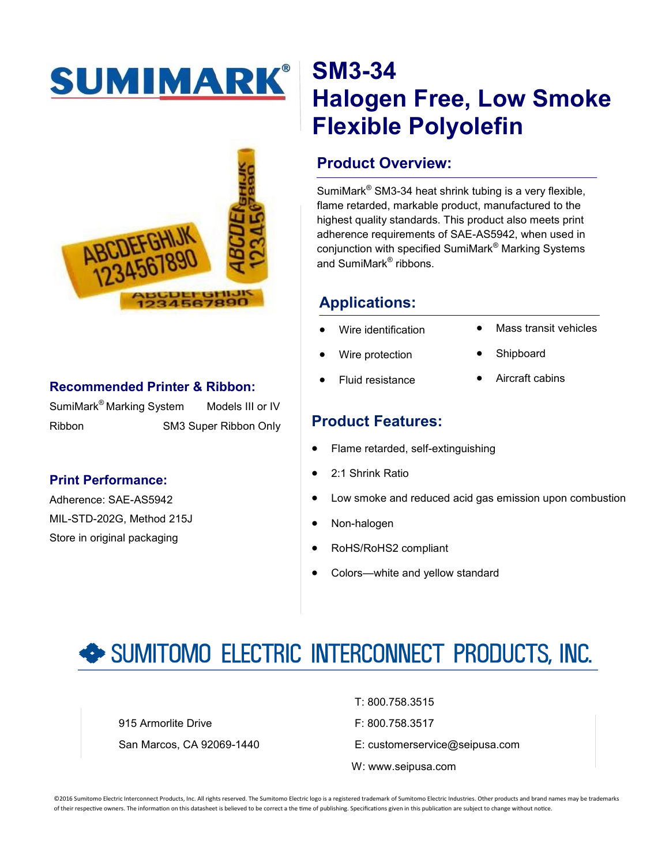# SUMIMARK®



#### **Recommended Printer & Ribbon:**

SumiMark<sup>®</sup> Marking System Models III or IV Ribbon SM3 Super Ribbon Only

#### **Print Performance:**

Adherence: SAE-AS5942 MIL-STD-202G, Method 215J Store in original packaging

### **SM3-34 Halogen Free, Low Smoke Flexible Polyolefin**

#### **Product Overview:**

SumiMark® SM3-34 heat shrink tubing is a very flexible, flame retarded, markable product, manufactured to the highest quality standards. This product also meets print adherence requirements of SAE-AS5942, when used in conjunction with specified SumiMark® Marking Systems and SumiMark<sup>®</sup> ribbons.

#### **Applications:**

- Wire identification
- Mass transit vehicles
- Wire protection
- Shipboard Aircraft cabins
- Fluid resistance
	-

#### **Product Features:**

- Flame retarded, self-extinguishing
- 2:1 Shrink Ratio
- Low smoke and reduced acid gas emission upon combustion
- Non-halogen
- RoHS/RoHS2 compliant
- Colors—white and yellow standard

## SUMITOMO ELECTRIC INTERCONNECT PRODUCTS, INC.

915 Armorlite Drive **F: 800.758.3517** 

T: 800.758.3515

- San Marcos, CA 92069-1440 E: customerservice@seipusa.com
	- W: www.seipusa.com

©2016 Sumitomo Electric Interconnect Products, Inc. All rights reserved. The Sumitomo Electric logo is a registered trademark of Sumitomo Electric Industries. Other products and brand names may be trademarks of their respective owners. The information on this datasheet is believed to be correct a the time of publishing. Specifications given in this publication are subject to change without notice.